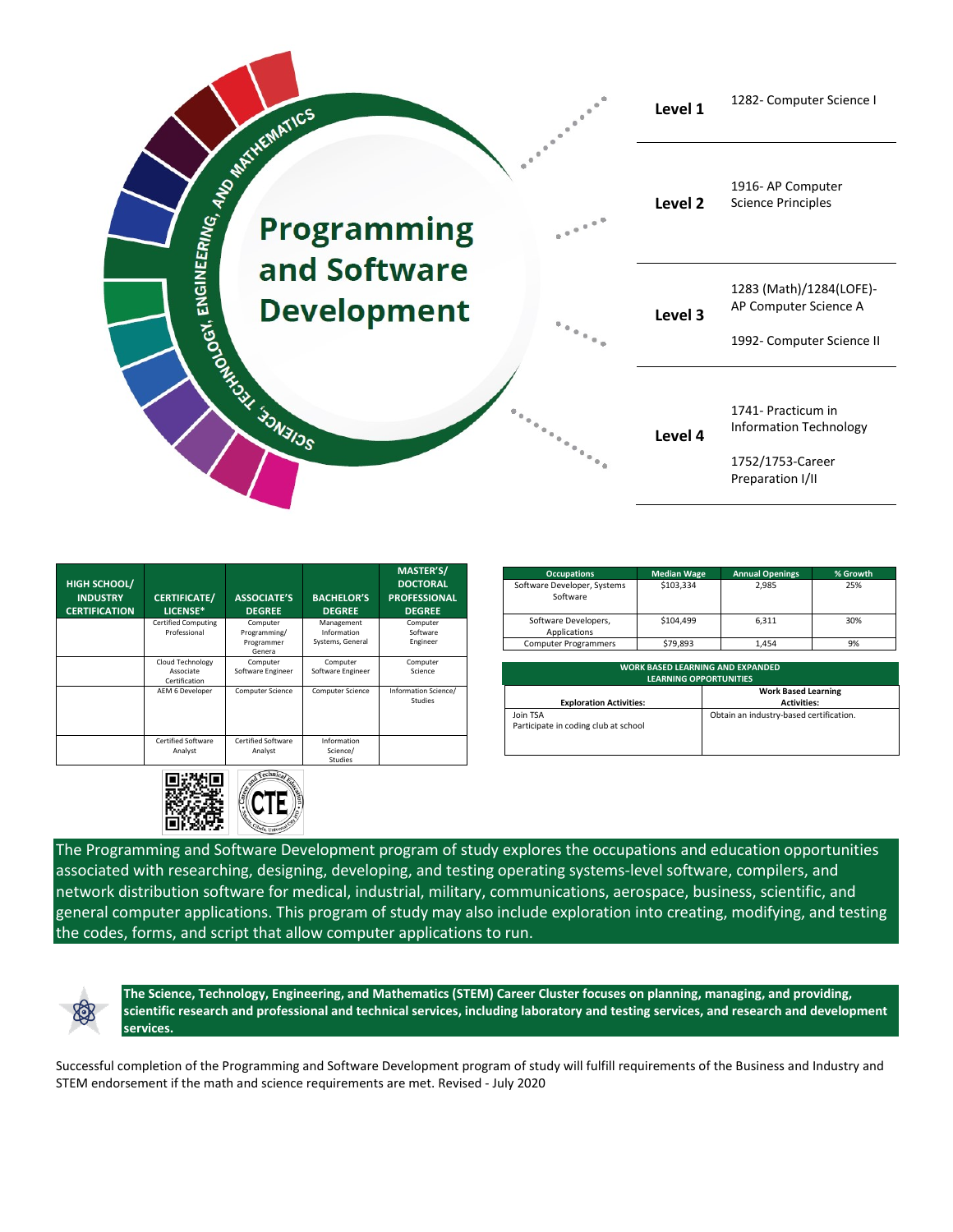

| HIGH SCHOOL/<br><b>INDUSTRY</b><br><b>CERTIFICATION</b> | <b>CERTIFICATE/</b><br>LICENSE*                | <b>ASSOCIATE'S</b><br><b>DEGREE</b>              | <b>BACHELOR'S</b><br><b>DEGREE</b>            | MASTER'S/<br><b>DOCTORAL</b><br><b>PROFESSIONAL</b><br><b>DEGREE</b> |
|---------------------------------------------------------|------------------------------------------------|--------------------------------------------------|-----------------------------------------------|----------------------------------------------------------------------|
|                                                         | <b>Certified Computing</b><br>Professional     | Computer<br>Programming/<br>Programmer<br>Genera | Management<br>Information<br>Systems, General | Computer<br>Software<br>Engineer                                     |
|                                                         | Cloud Technology<br>Associate<br>Certification | Computer<br>Software Engineer                    | Computer<br>Software Engineer                 | Computer<br>Science                                                  |
|                                                         | AEM 6 Developer                                | Computer Science                                 | <b>Computer Science</b>                       | Information Science/<br>Studies                                      |
|                                                         | <b>Certified Software</b><br>Analyst           | Certified Software<br>Analyst                    | Information<br>Science/<br><b>Studies</b>     |                                                                      |



| <b>Occupations</b>                      | <b>Median Wage</b> | <b>Annual Openings</b> | % Growth |
|-----------------------------------------|--------------------|------------------------|----------|
| Software Developer, Systems<br>Software | \$103,334          | 2.985                  | 25%      |
| Software Developers,<br>Applications    | \$104.499          | 6.311                  | 30%      |
| <b>Computer Programmers</b>             | \$79.893           | 1.454                  | 9%       |

| <b>WORK BASED LEARNING AND EXPANDED</b><br><b>LEARNING OPPORTUNITIES</b> |                                                  |  |  |  |
|--------------------------------------------------------------------------|--------------------------------------------------|--|--|--|
| <b>Exploration Activities:</b>                                           | <b>Work Based Learning</b><br><b>Activities:</b> |  |  |  |
| Join TSA<br>Participate in coding club at school                         | Obtain an industry-based certification.          |  |  |  |

The Programming and Software Development program of study explores the occupations and education opportunities associated with researching, designing, developing, and testing operating systems-level software, compilers, and network distribution software for medical, industrial, military, communications, aerospace, business, scientific, and general computer applications. This program of study may also include exploration into creating, modifying, and testing the codes, forms, and script that allow computer applications to run.



**The Science, Technology, Engineering, and Mathematics (STEM) Career Cluster focuses on planning, managing, and providing, scientific research and professional and technical services, including laboratory and testing services, and research and development services.**

Successful completion of the Programming and Software Development program of study will fulfill requirements of the Business and Industry and STEM endorsement if the math and science requirements are met. Revised - July 2020